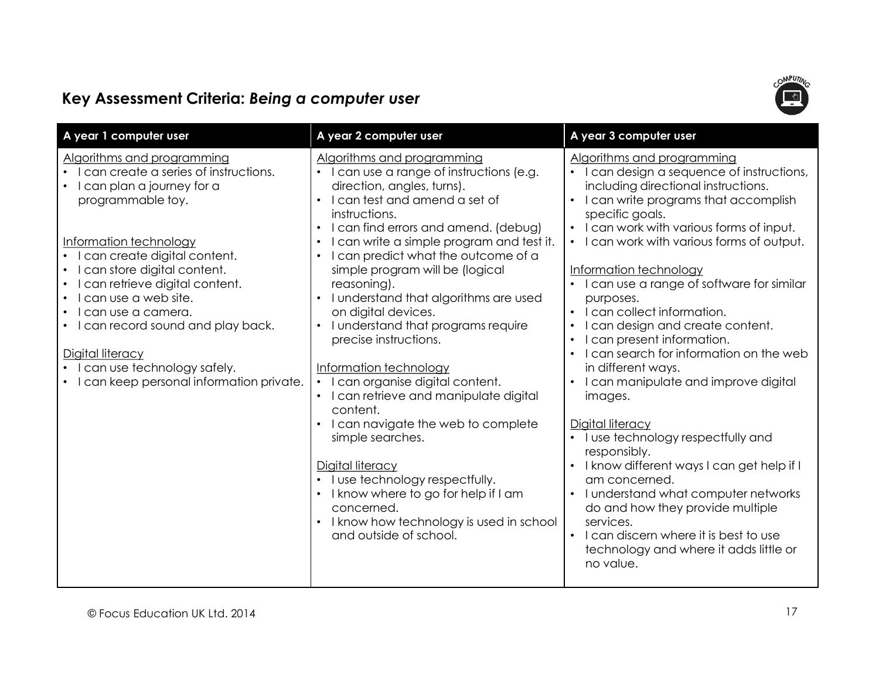

| A year 1 computer user                                                                                                                                                                                                                                                                                                                                                                                                                                                        | Key Assessment Criteria: Being a computer user<br>A year 2 computer user                                                                                                                                                                                                                                                                                                                                                                                                                                                                                                                                                                                                                                                                                                                                                                    | A year 3 computer user                                                                                                                                                                                                                                                                                                                                                                                                                                                                                                                                                                                                                                                                                                                                                                                                                                                                                           |
|-------------------------------------------------------------------------------------------------------------------------------------------------------------------------------------------------------------------------------------------------------------------------------------------------------------------------------------------------------------------------------------------------------------------------------------------------------------------------------|---------------------------------------------------------------------------------------------------------------------------------------------------------------------------------------------------------------------------------------------------------------------------------------------------------------------------------------------------------------------------------------------------------------------------------------------------------------------------------------------------------------------------------------------------------------------------------------------------------------------------------------------------------------------------------------------------------------------------------------------------------------------------------------------------------------------------------------------|------------------------------------------------------------------------------------------------------------------------------------------------------------------------------------------------------------------------------------------------------------------------------------------------------------------------------------------------------------------------------------------------------------------------------------------------------------------------------------------------------------------------------------------------------------------------------------------------------------------------------------------------------------------------------------------------------------------------------------------------------------------------------------------------------------------------------------------------------------------------------------------------------------------|
| Algorithms and programming<br>can create a series of instructions.<br>$\bullet$<br>l can plan a journey for a<br>programmable toy.<br>Information technology<br>I can create digital content.<br>I can store digital content.<br>can retrieve digital content.<br>can use a web site.<br>$\bullet$<br>l can use a camera.<br>I can record sound and play back.<br>Digital literacy<br>I can use technology safely.<br>$\bullet$<br>• I can keep personal information private. | Algorithms and programming<br>I can use a range of instructions (e.g.<br>direction, angles, turns).<br>I can test and amend a set of<br>$\bullet$<br>instructions.<br>I can find errors and amend. (debug)<br>I can write a simple program and test it.<br>I can predict what the outcome of a<br>simple program will be (logical<br>reasoning).<br>I understand that algorithms are used<br>on digital devices.<br>I understand that programs require<br>precise instructions.<br>Information technology<br>I can organise digital content.<br>I can retrieve and manipulate digital<br>content.<br>I can navigate the web to complete<br>simple searches.<br>Digital literacy<br>I use technology respectfully.<br>I know where to go for help if I am<br>concerned.<br>I know how technology is used in school<br>and outside of school. | Algorithms and programming<br>I can design a sequence of instructions,<br>including directional instructions.<br>I can write programs that accomplish<br>specific goals.<br>• I can work with various forms of input.<br>• I can work with various forms of output.<br>Information technology<br>I can use a range of software for similar<br>purposes.<br>• I can collect information.<br>I can design and create content.<br>I can present information.<br>I can search for information on the web<br>in different ways.<br>• I can manipulate and improve digital<br>images.<br>Digital literacy<br>• I use technology respectfully and<br>responsibly.<br>I know different ways I can get help if I<br>am concerned.<br>I understand what computer networks<br>do and how they provide multiple<br>services.<br>I can discern where it is best to use<br>technology and where it adds little or<br>no value. |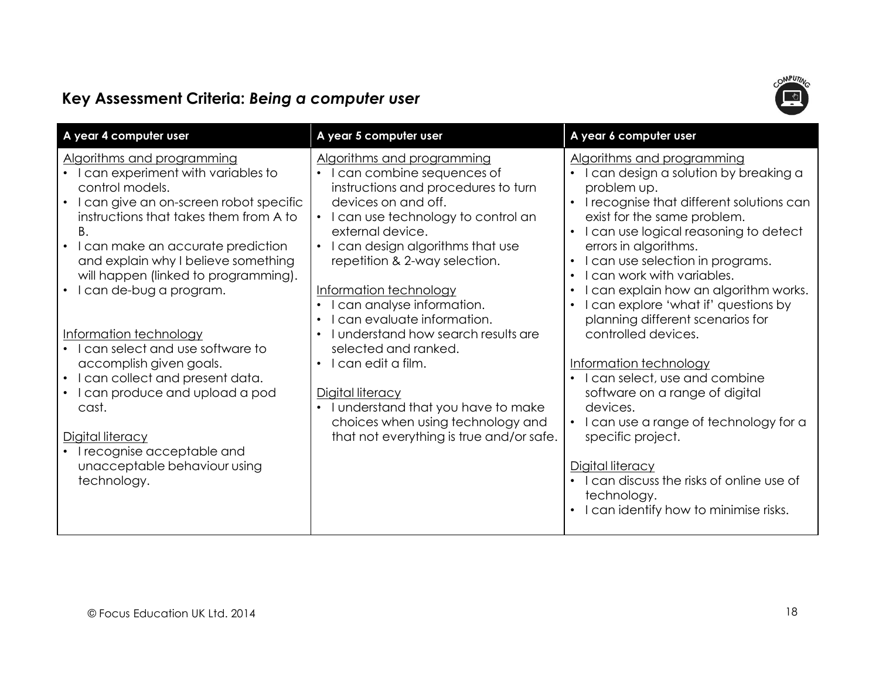

| Key Assessment Criteria: Being a computer user<br>A year 4 computer user                                                                                                                                                                                                                                                                                                                                                                                                                                                                                                                                                       | A year 5 computer user                                                                                                                                                                                                                                                                                                                                                                                                                                                                                                                                                   | A year 6 computer user                                                                                                                                                                                                                                                                                                                                                                                                                                                                                                                                                                                                                                                               |
|--------------------------------------------------------------------------------------------------------------------------------------------------------------------------------------------------------------------------------------------------------------------------------------------------------------------------------------------------------------------------------------------------------------------------------------------------------------------------------------------------------------------------------------------------------------------------------------------------------------------------------|--------------------------------------------------------------------------------------------------------------------------------------------------------------------------------------------------------------------------------------------------------------------------------------------------------------------------------------------------------------------------------------------------------------------------------------------------------------------------------------------------------------------------------------------------------------------------|--------------------------------------------------------------------------------------------------------------------------------------------------------------------------------------------------------------------------------------------------------------------------------------------------------------------------------------------------------------------------------------------------------------------------------------------------------------------------------------------------------------------------------------------------------------------------------------------------------------------------------------------------------------------------------------|
| Algorithms and programming<br>I can experiment with variables to<br>control models.<br>I can give an on-screen robot specific<br>instructions that takes them from A to<br>Β.<br>I can make an accurate prediction<br>$\bullet$<br>and explain why I believe something<br>will happen (linked to programming).<br>I can de-bug a program.<br>Information technology<br>I can select and use software to<br>accomplish given goals.<br>I can collect and present data.<br>$\bullet$<br>I can produce and upload a pod<br>cast.<br>Digital literacy<br>I recognise acceptable and<br>unacceptable behaviour using<br>technology. | Algorithms and programming<br>can combine sequences of<br>instructions and procedures to turn<br>devices on and off.<br>I can use technology to control an<br>external device.<br>I can design algorithms that use<br>repetition & 2-way selection.<br>Information technology<br>can analyse information.<br>can evaluate information.<br>I understand how search results are<br>selected and ranked.<br>I can edit a film.<br>Digital literacy<br>• I understand that you have to make<br>choices when using technology and<br>that not everything is true and/or safe. | Algorithms and programming<br>I can design a solution by breaking a<br>problem up.<br>I recognise that different solutions can<br>exist for the same problem.<br>I can use logical reasoning to detect<br>errors in algorithms.<br>I can use selection in programs.<br>I can work with variables.<br>I can explain how an algorithm works.<br>I can explore 'what if' questions by<br>planning different scenarios for<br>controlled devices.<br>Information technology<br>I can select, use and combine<br>software on a range of digital<br>devices.<br>I can use a range of technology for a<br>specific project.<br>Digital literacy<br>I can discuss the risks of online use of |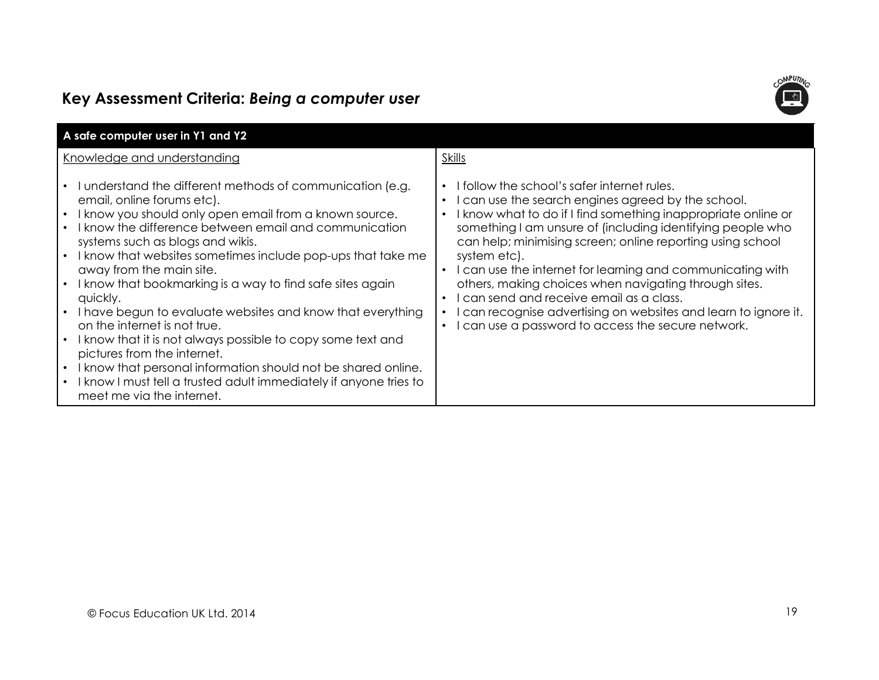

| Key Assessment Criteria: Being a computer user<br>A safe computer user in Y1 and Y2                                                                                                                                                                                                                                                                                                                                                                                                                                                                                                                                                                                                                                                                                                                 |                                                                                                                                                                                                                                                                                                                                                                                                                                                                                                                                                                                                                        |
|-----------------------------------------------------------------------------------------------------------------------------------------------------------------------------------------------------------------------------------------------------------------------------------------------------------------------------------------------------------------------------------------------------------------------------------------------------------------------------------------------------------------------------------------------------------------------------------------------------------------------------------------------------------------------------------------------------------------------------------------------------------------------------------------------------|------------------------------------------------------------------------------------------------------------------------------------------------------------------------------------------------------------------------------------------------------------------------------------------------------------------------------------------------------------------------------------------------------------------------------------------------------------------------------------------------------------------------------------------------------------------------------------------------------------------------|
| Knowledge and understanding                                                                                                                                                                                                                                                                                                                                                                                                                                                                                                                                                                                                                                                                                                                                                                         | <b>Skills</b>                                                                                                                                                                                                                                                                                                                                                                                                                                                                                                                                                                                                          |
| • I understand the different methods of communication (e.g.<br>email, online forums etc).<br>• I know you should only open email from a known source.<br>• I know the difference between email and communication<br>systems such as blogs and wikis.<br>• I know that websites sometimes include pop-ups that take me<br>away from the main site.<br>• I know that bookmarking is a way to find safe sites again<br>quickly.<br>• I have begun to evaluate websites and know that everything<br>on the internet is not true.<br>• I know that it is not always possible to copy some text and<br>pictures from the internet.<br>• I know that personal information should not be shared online.<br>• I know I must tell a trusted adult immediately if anyone tries to<br>meet me via the internet. | • I follow the school's safer internet rules.<br>• I can use the search engines agreed by the school.<br>• I know what to do if I find something inappropriate online or<br>something I am unsure of (including identifying people who<br>can help; minimising screen; online reporting using school<br>system etc).<br>• I can use the internet for learning and communicating with<br>others, making choices when navigating through sites.<br>• I can send and receive email as a class.<br>I can recognise advertising on websites and learn to ignore it.<br>• I can use a password to access the secure network. |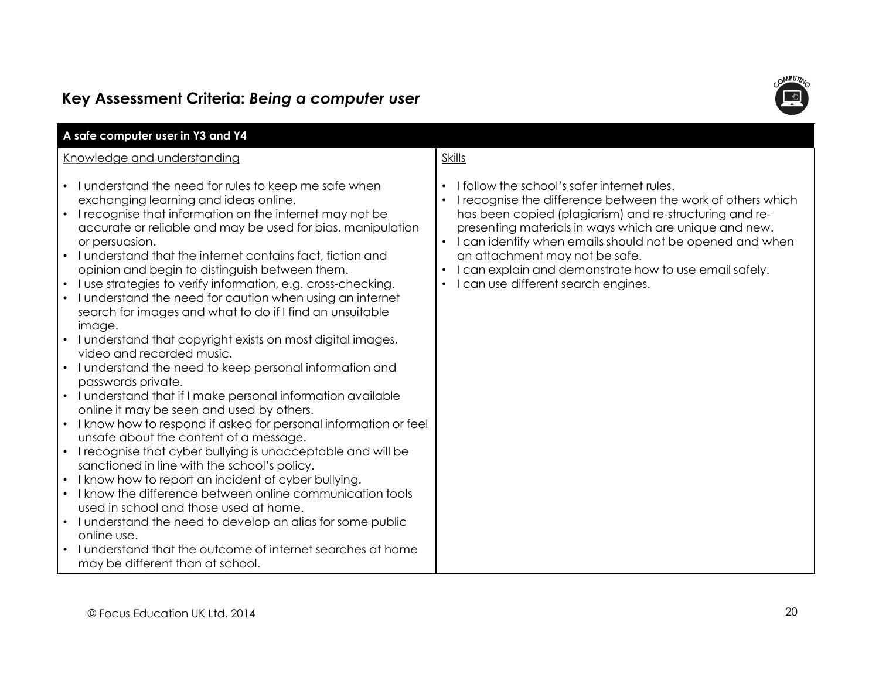

|                                                                                                                                                                                                                                                                                                                                                                                                                                                                                                                                                                                                                                                                                                                                                                                                                                                                                                                                                                                                                                                                                                                                                                                                                                                                                                                                                                                                                                                                                                                                                               | <b>MPUT</b>                                                                                                                                                                                                                                                                                                                                                                                                                                                                                         |
|---------------------------------------------------------------------------------------------------------------------------------------------------------------------------------------------------------------------------------------------------------------------------------------------------------------------------------------------------------------------------------------------------------------------------------------------------------------------------------------------------------------------------------------------------------------------------------------------------------------------------------------------------------------------------------------------------------------------------------------------------------------------------------------------------------------------------------------------------------------------------------------------------------------------------------------------------------------------------------------------------------------------------------------------------------------------------------------------------------------------------------------------------------------------------------------------------------------------------------------------------------------------------------------------------------------------------------------------------------------------------------------------------------------------------------------------------------------------------------------------------------------------------------------------------------------|-----------------------------------------------------------------------------------------------------------------------------------------------------------------------------------------------------------------------------------------------------------------------------------------------------------------------------------------------------------------------------------------------------------------------------------------------------------------------------------------------------|
| Key Assessment Criteria: Being a computer user<br>A safe computer user in Y3 and Y4<br>Knowledge and understanding<br>• I understand the need for rules to keep me safe when<br>exchanging learning and ideas online.<br>• I recognise that information on the internet may not be<br>accurate or reliable and may be used for bias, manipulation<br>or persuasion.<br>I understand that the internet contains fact, fiction and<br>opinion and begin to distinguish between them.<br>• I use strategies to verify information, e.g. cross-checking.<br>I understand the need for caution when using an internet<br>search for images and what to do if I find an unsuitable<br>image.<br>I understand that copyright exists on most digital images,<br>video and recorded music.<br>I understand the need to keep personal information and<br>passwords private.<br>• I understand that if I make personal information available<br>online it may be seen and used by others.<br>• I know how to respond if asked for personal information or feel<br>unsafe about the content of a message.<br>• I recognise that cyber bullying is unacceptable and will be<br>sanctioned in line with the school's policy.<br>• I know how to report an incident of cyber bullying.<br>I know the difference between online communication tools<br>used in school and those used at home.<br>• I understand the need to develop an alias for some public<br>online use.<br>I understand that the outcome of internet searches at home<br>may be different than at school. | <b>Skills</b><br>I follow the school's safer internet rules.<br>$\bullet$<br>I recognise the difference between the work of others which<br>$\bullet$<br>has been copied (plagiarism) and re-structuring and re-<br>presenting materials in ways which are unique and new.<br>I can identify when emails should not be opened and when<br>$\bullet$<br>an attachment may not be safe.<br>I can explain and demonstrate how to use email safely.<br>I can use different search engines.<br>$\bullet$ |